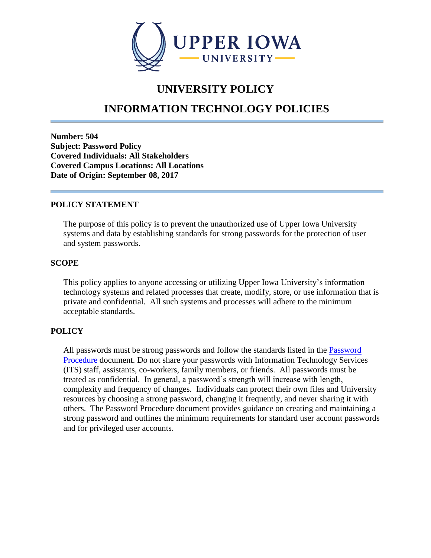

## **UNIVERSITY POLICY**

# **INFORMATION TECHNOLOGY POLICIES**

**Number: 504 Subject: Password Policy Covered Individuals: All Stakeholders Covered Campus Locations: All Locations Date of Origin: September 08, 2017**

#### **POLICY STATEMENT**

The purpose of this policy is to prevent the unauthorized use of Upper Iowa University systems and data by establishing standards for strong passwords for the protection of user and system passwords.

#### **SCOPE**

This policy applies to anyone accessing or utilizing Upper Iowa University's information technology systems and related processes that create, modify, store, or use information that is private and confidential. All such systems and processes will adhere to the minimum acceptable standards.

#### **POLICY**

All passwords must be strong passwords and follow the standards listed in the [Password](http://uiu.edu/about/policies/documents/IT_109_PasswordProcedure.pdf)  [Procedure](http://uiu.edu/about/policies/documents/IT_109_PasswordProcedure.pdf) document. Do not share your passwords with Information Technology Services (ITS) staff, assistants, co-workers, family members, or friends. All passwords must be treated as confidential. In general, a password's strength will increase with length, complexity and frequency of changes. Individuals can protect their own files and University resources by choosing a strong password, changing it frequently, and never sharing it with others. The Password Procedure document provides guidance on creating and maintaining a strong password and outlines the minimum requirements for standard user account passwords and for privileged user accounts.